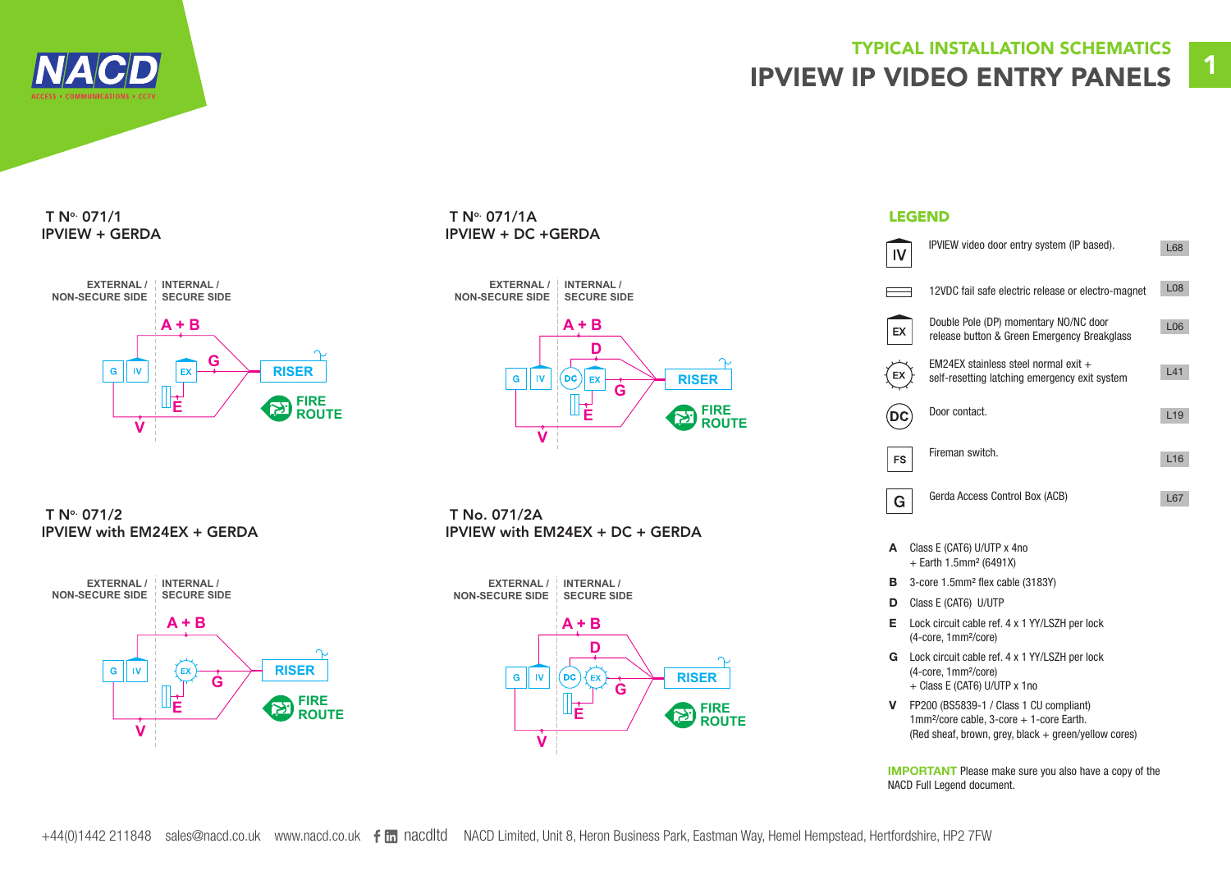

# TYPICAL INSTALLATION SCHEMATICS IPVIEW IP VIDEO ENTRY PANELS

## $T N^{\circ}$  071/1 IPVIEW + GERDA



### T N° 071/1A LEGEND IPVIEW + DC +GERDA



 T No. 071/2 IPVIEW with EM24EX + GERDA



 T No. 071/2A IPVIEW with EM24EX + DC + GERDA



|    | IPVIEW video door entry system (IP based).                                            | L68             |
|----|---------------------------------------------------------------------------------------|-----------------|
|    | 12VDC fail safe electric release or electro-magnet                                    | L08             |
| EХ | Double Pole (DP) momentary NO/NC door<br>release button & Green Emergency Breakglass  | L <sub>06</sub> |
|    | EM24EX stainless steel normal exit +<br>self-resetting latching emergency exit system | L41             |
|    | Door contact.                                                                         | L <sub>19</sub> |
| FS | Fireman switch.                                                                       | L16             |
| G  | Gerda Access Control Box (ACB)                                                        | L67             |

- A Class E (CAT6) U/UTP x 4no + Earth 1.5mm² (6491X)
- B 3-core 1.5mm<sup>2</sup> flex cable (3183Y)
- D Class E (CAT6) U/UTP
- E Lock circuit cable ref. 4 x 1 YY/LSZH per lock (4-core, 1mm²/core)
- G Lock circuit cable ref. 4 x 1 YY/LSZH per lock (4-core, 1mm²/core) + Class E (CAT6) U/UTP x 1no
- V FP200 (BS5839-1 / Class 1 CU compliant) 1mm<sup>2</sup>/core cable, 3-core + 1-core Earth. (Red sheaf, brown, grey, black + green/yellow cores)

IMPORTANT Please make sure you also have a copy of the NACD Full Legend document.